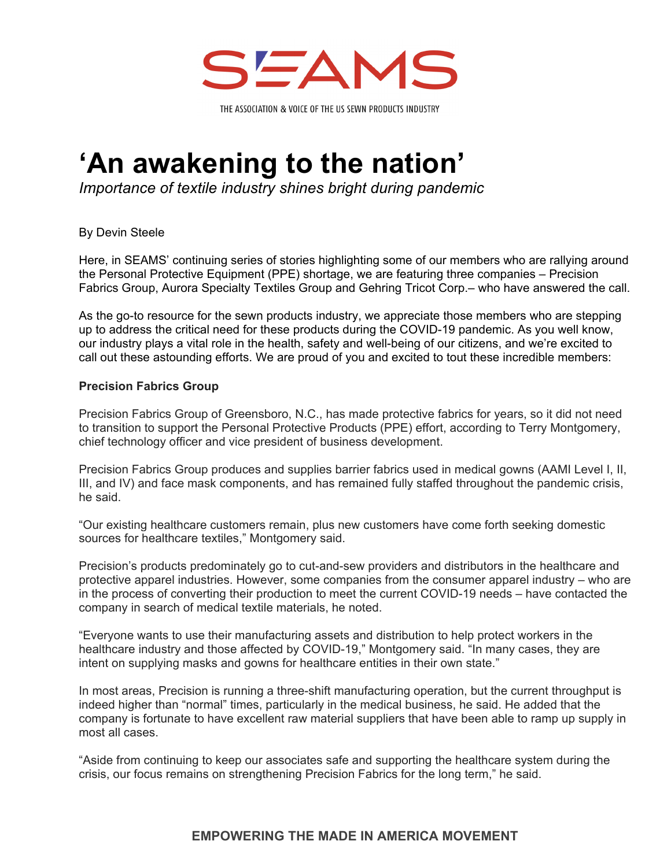

## **'An awakening to the nation'**

*Importance of textile industry shines bright during pandemic* 

By Devin Steele

Here, in SEAMS' continuing series of stories highlighting some of our members who are rallying around the Personal Protective Equipment (PPE) shortage, we are featuring three companies – Precision Fabrics Group, Aurora Specialty Textiles Group and Gehring Tricot Corp.– who have answered the call.

As the go-to resource for the sewn products industry, we appreciate those members who are stepping up to address the critical need for these products during the COVID-19 pandemic. As you well know, our industry plays a vital role in the health, safety and well-being of our citizens, and we're excited to call out these astounding efforts. We are proud of you and excited to tout these incredible members:

## **Precision Fabrics Group**

Precision Fabrics Group of Greensboro, N.C., has made protective fabrics for years, so it did not need to transition to support the Personal Protective Products (PPE) effort, according to Terry Montgomery, chief technology officer and vice president of business development.

Precision Fabrics Group produces and supplies barrier fabrics used in medical gowns (AAMI Level I, II, III, and IV) and face mask components, and has remained fully staffed throughout the pandemic crisis, he said.

"Our existing healthcare customers remain, plus new customers have come forth seeking domestic sources for healthcare textiles," Montgomery said.

Precision's products predominately go to cut-and-sew providers and distributors in the healthcare and protective apparel industries. However, some companies from the consumer apparel industry – who are in the process of converting their production to meet the current COVID-19 needs – have contacted the company in search of medical textile materials, he noted.

"Everyone wants to use their manufacturing assets and distribution to help protect workers in the healthcare industry and those affected by COVID-19," Montgomery said. "In many cases, they are intent on supplying masks and gowns for healthcare entities in their own state."

In most areas, Precision is running a three-shift manufacturing operation, but the current throughput is indeed higher than "normal" times, particularly in the medical business, he said. He added that the company is fortunate to have excellent raw material suppliers that have been able to ramp up supply in most all cases.

"Aside from continuing to keep our associates safe and supporting the healthcare system during the crisis, our focus remains on strengthening Precision Fabrics for the long term," he said.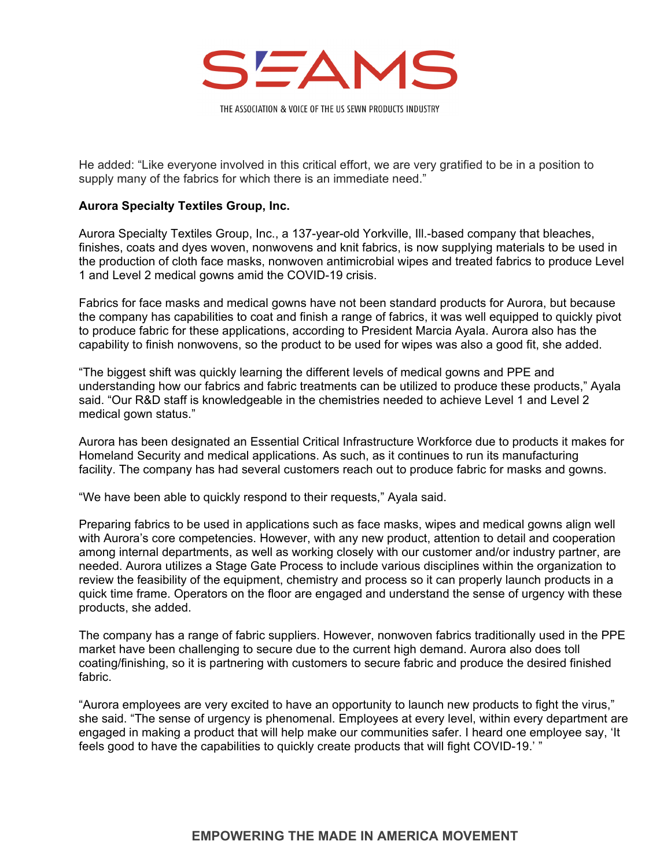

He added: "Like everyone involved in this critical effort, we are very gratified to be in a position to supply many of the fabrics for which there is an immediate need."

## **Aurora Specialty Textiles Group, Inc.**

Aurora Specialty Textiles Group, Inc., a 137-year-old Yorkville, Ill.-based company that bleaches, finishes, coats and dyes woven, nonwovens and knit fabrics, is now supplying materials to be used in the production of cloth face masks, nonwoven antimicrobial wipes and treated fabrics to produce Level 1 and Level 2 medical gowns amid the COVID-19 crisis.

Fabrics for face masks and medical gowns have not been standard products for Aurora, but because the company has capabilities to coat and finish a range of fabrics, it was well equipped to quickly pivot to produce fabric for these applications, according to President Marcia Ayala. Aurora also has the capability to finish nonwovens, so the product to be used for wipes was also a good fit, she added.

"The biggest shift was quickly learning the different levels of medical gowns and PPE and understanding how our fabrics and fabric treatments can be utilized to produce these products," Ayala said. "Our R&D staff is knowledgeable in the chemistries needed to achieve Level 1 and Level 2 medical gown status."

Aurora has been designated an Essential Critical Infrastructure Workforce due to products it makes for Homeland Security and medical applications. As such, as it continues to run its manufacturing facility. The company has had several customers reach out to produce fabric for masks and gowns.

"We have been able to quickly respond to their requests," Ayala said.

Preparing fabrics to be used in applications such as face masks, wipes and medical gowns align well with Aurora's core competencies. However, with any new product, attention to detail and cooperation among internal departments, as well as working closely with our customer and/or industry partner, are needed. Aurora utilizes a Stage Gate Process to include various disciplines within the organization to review the feasibility of the equipment, chemistry and process so it can properly launch products in a quick time frame. Operators on the floor are engaged and understand the sense of urgency with these products, she added.

The company has a range of fabric suppliers. However, nonwoven fabrics traditionally used in the PPE market have been challenging to secure due to the current high demand. Aurora also does toll coating/finishing, so it is partnering with customers to secure fabric and produce the desired finished fabric.

"Aurora employees are very excited to have an opportunity to launch new products to fight the virus," she said. "The sense of urgency is phenomenal. Employees at every level, within every department are engaged in making a product that will help make our communities safer. I heard one employee say, 'It feels good to have the capabilities to quickly create products that will fight COVID-19.' "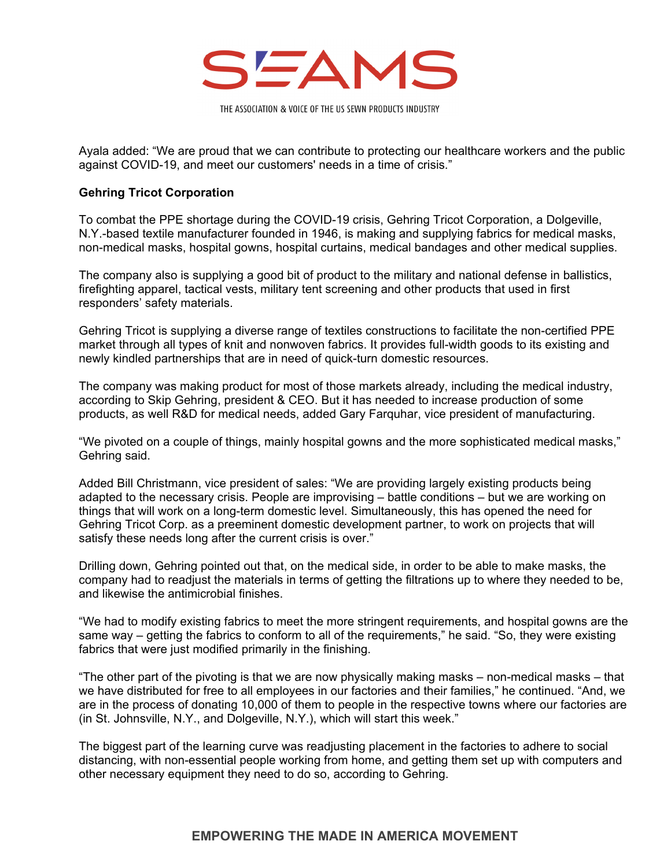

Ayala added: "We are proud that we can contribute to protecting our healthcare workers and the public against COVID-19, and meet our customers' needs in a time of crisis."

## **Gehring Tricot Corporation**

To combat the PPE shortage during the COVID-19 crisis, Gehring Tricot Corporation, a Dolgeville, N.Y.-based textile manufacturer founded in 1946, is making and supplying fabrics for medical masks, non-medical masks, hospital gowns, hospital curtains, medical bandages and other medical supplies.

The company also is supplying a good bit of product to the military and national defense in ballistics, firefighting apparel, tactical vests, military tent screening and other products that used in first responders' safety materials.

Gehring Tricot is supplying a diverse range of textiles constructions to facilitate the non-certified PPE market through all types of knit and nonwoven fabrics. It provides full-width goods to its existing and newly kindled partnerships that are in need of quick-turn domestic resources.

The company was making product for most of those markets already, including the medical industry, according to Skip Gehring, president & CEO. But it has needed to increase production of some products, as well R&D for medical needs, added Gary Farquhar, vice president of manufacturing.

"We pivoted on a couple of things, mainly hospital gowns and the more sophisticated medical masks," Gehring said.

Added Bill Christmann, vice president of sales: "We are providing largely existing products being adapted to the necessary crisis. People are improvising – battle conditions – but we are working on things that will work on a long-term domestic level. Simultaneously, this has opened the need for Gehring Tricot Corp. as a preeminent domestic development partner, to work on projects that will satisfy these needs long after the current crisis is over."

Drilling down, Gehring pointed out that, on the medical side, in order to be able to make masks, the company had to readjust the materials in terms of getting the filtrations up to where they needed to be, and likewise the antimicrobial finishes.

"We had to modify existing fabrics to meet the more stringent requirements, and hospital gowns are the same way – getting the fabrics to conform to all of the requirements," he said. "So, they were existing fabrics that were just modified primarily in the finishing.

"The other part of the pivoting is that we are now physically making masks – non-medical masks – that we have distributed for free to all employees in our factories and their families," he continued. "And, we are in the process of donating 10,000 of them to people in the respective towns where our factories are (in St. Johnsville, N.Y., and Dolgeville, N.Y.), which will start this week."

The biggest part of the learning curve was readjusting placement in the factories to adhere to social distancing, with non-essential people working from home, and getting them set up with computers and other necessary equipment they need to do so, according to Gehring.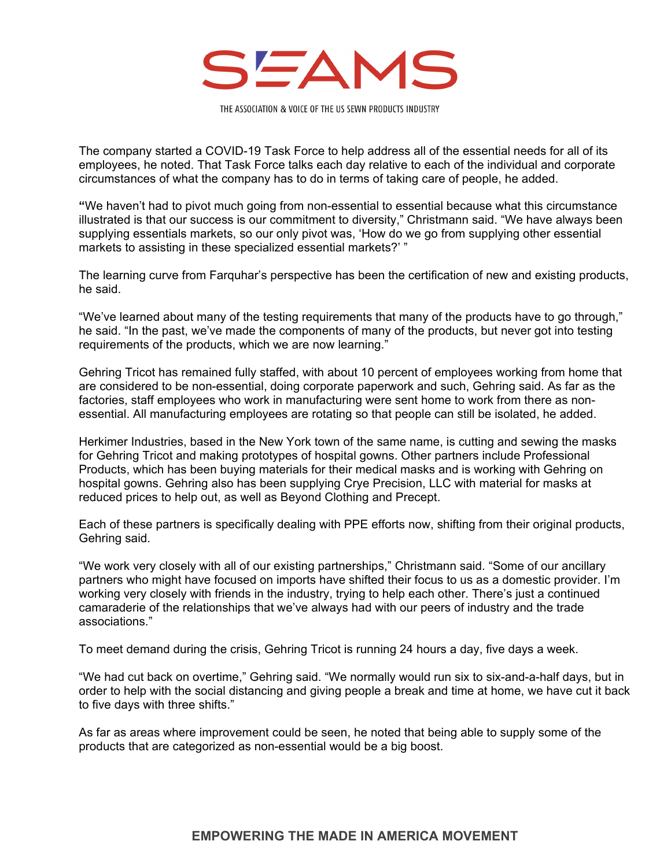

The company started a COVID-19 Task Force to help address all of the essential needs for all of its employees, he noted. That Task Force talks each day relative to each of the individual and corporate circumstances of what the company has to do in terms of taking care of people, he added.

**"**We haven't had to pivot much going from non-essential to essential because what this circumstance illustrated is that our success is our commitment to diversity," Christmann said. "We have always been supplying essentials markets, so our only pivot was, 'How do we go from supplying other essential markets to assisting in these specialized essential markets?' "

The learning curve from Farquhar's perspective has been the certification of new and existing products, he said.

"We've learned about many of the testing requirements that many of the products have to go through," he said. "In the past, we've made the components of many of the products, but never got into testing requirements of the products, which we are now learning."

Gehring Tricot has remained fully staffed, with about 10 percent of employees working from home that are considered to be non-essential, doing corporate paperwork and such, Gehring said. As far as the factories, staff employees who work in manufacturing were sent home to work from there as nonessential. All manufacturing employees are rotating so that people can still be isolated, he added.

Herkimer Industries, based in the New York town of the same name, is cutting and sewing the masks for Gehring Tricot and making prototypes of hospital gowns. Other partners include Professional Products, which has been buying materials for their medical masks and is working with Gehring on hospital gowns. Gehring also has been supplying Crye Precision, LLC with material for masks at reduced prices to help out, as well as Beyond Clothing and Precept.

Each of these partners is specifically dealing with PPE efforts now, shifting from their original products, Gehring said.

"We work very closely with all of our existing partnerships," Christmann said. "Some of our ancillary partners who might have focused on imports have shifted their focus to us as a domestic provider. I'm working very closely with friends in the industry, trying to help each other. There's just a continued camaraderie of the relationships that we've always had with our peers of industry and the trade associations."

To meet demand during the crisis, Gehring Tricot is running 24 hours a day, five days a week.

"We had cut back on overtime," Gehring said. "We normally would run six to six-and-a-half days, but in order to help with the social distancing and giving people a break and time at home, we have cut it back to five days with three shifts."

As far as areas where improvement could be seen, he noted that being able to supply some of the products that are categorized as non-essential would be a big boost.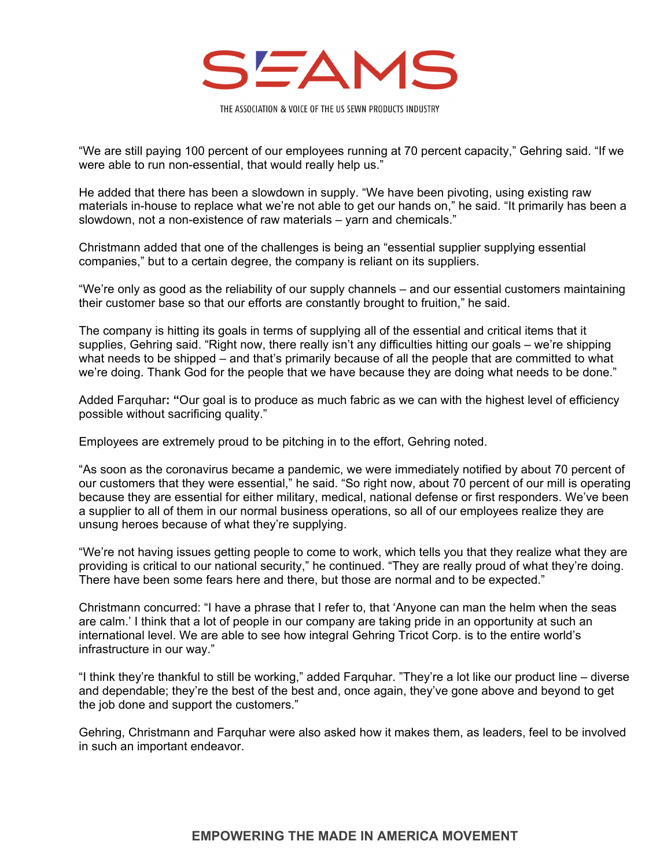

"We are still paying 100 percent of our employees running at 70 percent capacity," Gehring said. "If we were able to run non-essential, that would really help us."

He added that there has been a slowdown in supply. "We have been pivoting, using existing raw materials in-house to replace what we're not able to get our hands on," he said. "It primarily has been a slowdown, not a non-existence of raw materials – yarn and chemicals."

Christmann added that one of the challenges is being an "essential supplier supplying essential companies," but to a certain degree, the company is reliant on its suppliers.

"We're only as good as the reliability of our supply channels – and our essential customers maintaining their customer base so that our efforts are constantly brought to fruition," he said.

The company is hitting its goals in terms of supplying all of the essential and critical items that it supplies, Gehring said. "Right now, there really isn't any difficulties hitting our goals – we're shipping what needs to be shipped – and that's primarily because of all the people that are committed to what we're doing. Thank God for the people that we have because they are doing what needs to be done."

Added Farquhar**: "**Our goal is to produce as much fabric as we can with the highest level of efficiency possible without sacrificing quality."

Employees are extremely proud to be pitching in to the effort, Gehring noted.

"As soon as the coronavirus became a pandemic, we were immediately notified by about 70 percent of our customers that they were essential," he said. "So right now, about 70 percent of our mill is operating because they are essential for either military, medical, national defense or first responders. We've been a supplier to all of them in our normal business operations, so all of our employees realize they are unsung heroes because of what they're supplying.

"We're not having issues getting people to come to work, which tells you that they realize what they are providing is critical to our national security," he continued. "They are really proud of what they're doing. There have been some fears here and there, but those are normal and to be expected."

Christmann concurred: "I have a phrase that I refer to, that 'Anyone can man the helm when the seas are calm.' I think that a lot of people in our company are taking pride in an opportunity at such an international level. We are able to see how integral Gehring Tricot Corp. is to the entire world's infrastructure in our way."

"I think they're thankful to still be working," added Farquhar. "They're a lot like our product line – diverse and dependable; they're the best of the best and, once again, they've gone above and beyond to get the job done and support the customers."

Gehring, Christmann and Farquhar were also asked how it makes them, as leaders, feel to be involved in such an important endeavor.